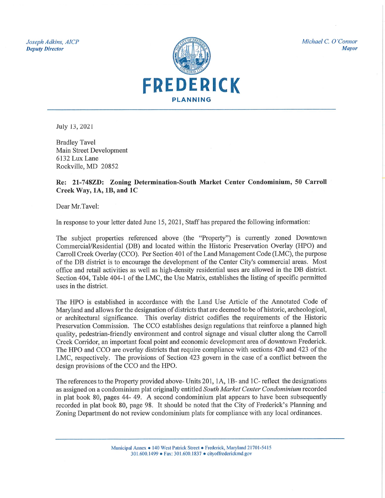Joseph Adkins, AICP **Deputy Director** 



Michael C. O'Connor

**Mayor** 

July 13, 2021

**Bradley Tavel** Main Street Development 6132 Lux Lane Rockville, MD 20852

Re: 21-748ZD: Zoning Determination-South Market Center Condominium, 50 Carroll Creek Way, 1A, 1B, and 1C

Dear Mr.Tavel:

In response to your letter dated June 15, 2021, Staff has prepared the following information:

The subject properties referenced above (the "Property") is currently zoned Downtown Commercial/Residential (DB) and located within the Historic Preservation Overlay (HPO) and Carroll Creek Overlay (CCO). Per Section 401 of the Land Management Code (LMC), the purpose of the DB district is to encourage the development of the Center City's commercial areas. Most office and retail activities as well as high-density residential uses are allowed in the DB district. Section 404, Table 404-1 of the LMC, the Use Matrix, establishes the listing of specific permitted uses in the district.

The HPO is established in accordance with the Land Use Article of the Annotated Code of Maryland and allows for the designation of districts that are deemed to be of historic, archeological, or architectural significance. This overlay district codifies the requirements of the Historic Preservation Commission. The CCO establishes design regulations that reinforce a planned high quality, pedestrian-friendly environment and control signage and visual clutter along the Carroll Creek Corridor, an important focal point and economic development area of downtown Frederick. The HPO and CCO are overlay districts that require compliance with sections 420 and 423 of the LMC, respectively. The provisions of Section 423 govern in the case of a conflict between the design provisions of the CCO and the HPO.

The references to the Property provided above- Units 201, 1A, 1B- and 1C- reflect the designations as assigned on a condominium plat originally entitled South Market Center Condominium recorded in plat book 80, pages 44-49. A second condominium plat appears to have been subsequently recorded in plat book 80, page 98. It should be noted that the City of Frederick's Planning and Zoning Department do not review condominium plats for compliance with any local ordinances.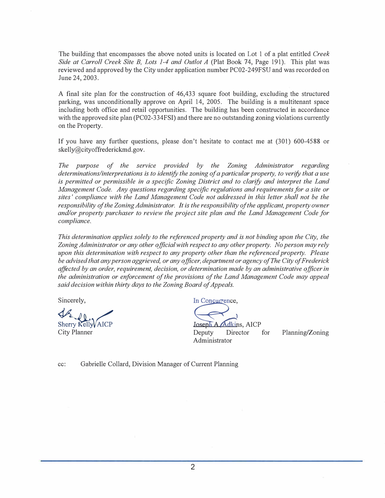The building that encompasses the above noted units is located on Lot 1 of a plat entitled *Creek Side at Carroll Creek Site B, Lots 1-4 and Outlot A* (Plat Book 74, Page 191). This plat was reviewed and approved by the City under application number PC02-249FSU and was recorded on June 24, 2003.

A final site plan for the construction of 46,433 square foot building, excluding the structured parking, was unconditionally approve on April 14, 2005. The building is a multitenant space including both office and retail opportunities. The building has been constructed in accordance with the approved site plan (PC02-334FSI) and there are no outstanding zoning violations currently on the Property.

If you have any further questions, please don't hesitate to contact me at (301) 600-4588 or skelly@cityoffrederickmd.gov.

*The purpose of the service provided by the Zoning Administ<sup>r</sup>ator regarding determinations/interpretations is to identify the zoning of a particular property, to verify that a use is permitted or permissible in a specific Zoning District and to clarify and interpret the Land Management Code. Any questions regarding specific regulations and requirements for a site or sites' compliance with the Land Management Code not addressed in this letter shall not be the responsibility of the Zoning Administ<sup>r</sup>ator. It is the responsibility of the applicant, property owner and/or property purchaser to review the project site plan and the Land Management Code for compliance.* 

*This determination applies solely to the referenced property and is not binding upon the City, the Zoning Administ<sup>r</sup>ator or any other official with respect to any other property. No person may rely upon this determination with respect to any property other than the referenced property. Please be advised that any person aggrieved, or any officer, department or agency of The City of Frederick affected by an order, requirement, decision, or determination made by an administrative officer in the administ<sup>r</sup>ation or enforcement of the provisions of the Land Management Code may appeal*  $s$ aid decision within thirty days to the Zoning Board of Appeals.

Sherry Kelly AICP

Sincerely, *bc bc*, *concurrence, <b>b <i>concurrence, b* 

Joseph A. Adkins, AICP City Planner Deputy Director for Administrator

Planning/Zoning

cc: Gabrielle Collard, Division Manager of Current Planning